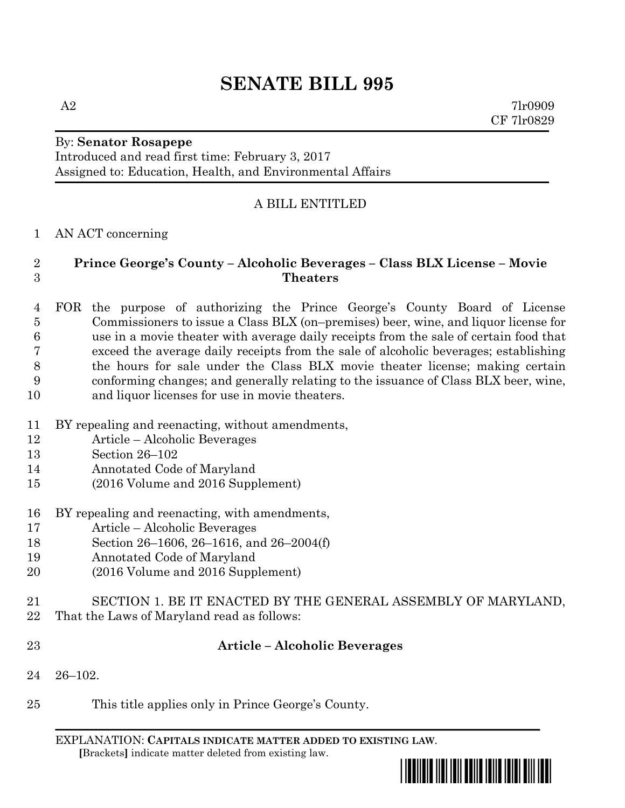# **SENATE BILL 995**

 $A2$  7lr0909 CF 7lr0829

# By: **Senator Rosapepe**

Introduced and read first time: February 3, 2017 Assigned to: Education, Health, and Environmental Affairs

# A BILL ENTITLED

#### AN ACT concerning

## **Prince George's County – Alcoholic Beverages – Class BLX License – Movie Theaters**

 FOR the purpose of authorizing the Prince George's County Board of License Commissioners to issue a Class BLX (on–premises) beer, wine, and liquor license for use in a movie theater with average daily receipts from the sale of certain food that exceed the average daily receipts from the sale of alcoholic beverages; establishing the hours for sale under the Class BLX movie theater license; making certain conforming changes; and generally relating to the issuance of Class BLX beer, wine, and liquor licenses for use in movie theaters.

- BY repealing and reenacting, without amendments,
- Article Alcoholic Beverages
- Section 26–102
- Annotated Code of Maryland
- (2016 Volume and 2016 Supplement)
- BY repealing and reenacting, with amendments,
- Article Alcoholic Beverages
- Section 26–1606, 26–1616, and 26–2004(f)
- Annotated Code of Maryland
- (2016 Volume and 2016 Supplement)
- SECTION 1. BE IT ENACTED BY THE GENERAL ASSEMBLY OF MARYLAND,
- That the Laws of Maryland read as follows:
- 

#### **Article – Alcoholic Beverages**

- 26–102.
- This title applies only in Prince George's County.

EXPLANATION: **CAPITALS INDICATE MATTER ADDED TO EXISTING LAW**.  **[**Brackets**]** indicate matter deleted from existing law.

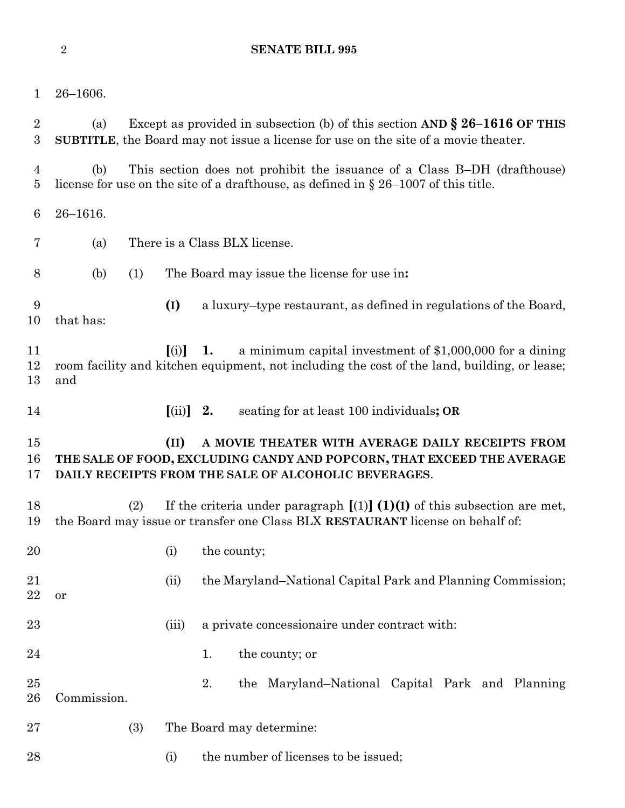#### **SENATE BILL 995**

| 1                                  | $26 - 1606.$                                                                                                                                                                        |                                 |                                                                                                                                                                                    |  |
|------------------------------------|-------------------------------------------------------------------------------------------------------------------------------------------------------------------------------------|---------------------------------|------------------------------------------------------------------------------------------------------------------------------------------------------------------------------------|--|
| $\overline{2}$<br>$\boldsymbol{3}$ | Except as provided in subsection (b) of this section AND $\S 26-1616$ OF THIS<br>(a)<br><b>SUBTITLE</b> , the Board may not issue a license for use on the site of a movie theater. |                                 |                                                                                                                                                                                    |  |
| $\overline{4}$<br>$\overline{5}$   | (b)                                                                                                                                                                                 |                                 | This section does not prohibit the issuance of a Class B-DH (drafthouse)<br>license for use on the site of a drafthouse, as defined in $\S 26-1007$ of this title.                 |  |
| 6                                  | $26 - 1616.$                                                                                                                                                                        |                                 |                                                                                                                                                                                    |  |
| 7                                  | (a)                                                                                                                                                                                 |                                 | There is a Class BLX license.                                                                                                                                                      |  |
| 8                                  | (1)<br>(b)                                                                                                                                                                          |                                 | The Board may issue the license for use in:                                                                                                                                        |  |
| 9<br>10                            | that has:                                                                                                                                                                           | (I)                             | a luxury-type restaurant, as defined in regulations of the Board,                                                                                                                  |  |
| 11<br>12<br>13                     | and                                                                                                                                                                                 | (i)                             | a minimum capital investment of $$1,000,000$ for a dining<br>1.<br>room facility and kitchen equipment, not including the cost of the land, building, or lease;                    |  |
| 14                                 |                                                                                                                                                                                     | $\left[ \text{(ii)} \right]$ 2. | seating for at least 100 individuals; OR                                                                                                                                           |  |
| 15<br>16<br>17                     |                                                                                                                                                                                     | (II)                            | A MOVIE THEATER WITH AVERAGE DAILY RECEIPTS FROM<br>THE SALE OF FOOD, EXCLUDING CANDY AND POPCORN, THAT EXCEED THE AVERAGE<br>DAILY RECEIPTS FROM THE SALE OF ALCOHOLIC BEVERAGES. |  |
| 18<br>19                           | (2)                                                                                                                                                                                 |                                 | If the criteria under paragraph $[(1)] (1)(I)$ of this subsection are met,<br>the Board may issue or transfer one Class BLX RESTAURANT license on behalf of:                       |  |
| 20                                 |                                                                                                                                                                                     | (i)                             | the county;                                                                                                                                                                        |  |
| 21<br>22                           | or                                                                                                                                                                                  | (ii)                            | the Maryland–National Capital Park and Planning Commission;                                                                                                                        |  |
| 23                                 |                                                                                                                                                                                     | (iii)                           | a private concessionaire under contract with:                                                                                                                                      |  |
| 24                                 |                                                                                                                                                                                     |                                 | 1.<br>the county; or                                                                                                                                                               |  |
| 25<br>26                           | Commission.                                                                                                                                                                         |                                 | 2.<br>the Maryland-National Capital Park and Planning                                                                                                                              |  |
| 27                                 | (3)                                                                                                                                                                                 |                                 | The Board may determine:                                                                                                                                                           |  |
| 28                                 |                                                                                                                                                                                     | (i)                             | the number of licenses to be issued;                                                                                                                                               |  |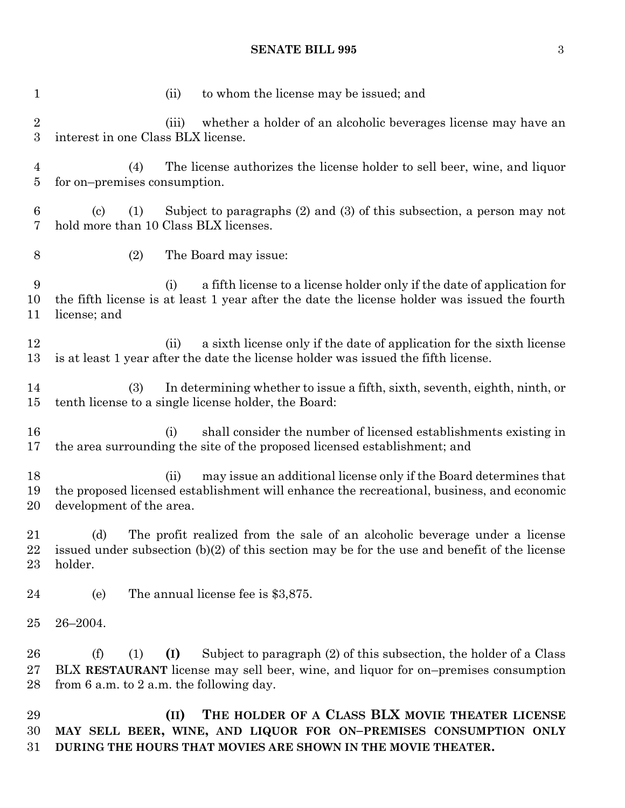## **SENATE BILL 995** 3

| 1                                | to whom the license may be issued; and<br>(ii)                                                                                                                                                                                |
|----------------------------------|-------------------------------------------------------------------------------------------------------------------------------------------------------------------------------------------------------------------------------|
| $\overline{2}$<br>3              | whether a holder of an alcoholic beverages license may have an<br>(iii)<br>interest in one Class BLX license.                                                                                                                 |
| $\overline{4}$<br>$\overline{5}$ | The license authorizes the license holder to sell beer, wine, and liquor<br>(4)<br>for on-premises consumption.                                                                                                               |
| 6<br>7                           | Subject to paragraphs $(2)$ and $(3)$ of this subsection, a person may not<br>$\left( \text{c} \right)$<br>(1)<br>hold more than 10 Class BLX licenses.                                                                       |
| $8\,$                            | (2)<br>The Board may issue:                                                                                                                                                                                                   |
| 9<br>10<br>11                    | a fifth license to a license holder only if the date of application for<br>(i)<br>the fifth license is at least 1 year after the date the license holder was issued the fourth<br>license; and                                |
| 12<br>13                         | a sixth license only if the date of application for the sixth license<br>(ii)<br>is at least 1 year after the date the license holder was issued the fifth license.                                                           |
| 14<br>15                         | In determining whether to issue a fifth, sixth, seventh, eighth, ninth, or<br>(3)<br>tenth license to a single license holder, the Board:                                                                                     |
| 16<br>17                         | shall consider the number of licensed establishments existing in<br>(i)<br>the area surrounding the site of the proposed licensed establishment; and                                                                          |
| 18<br>19<br>20                   | may issue an additional license only if the Board determines that<br>(ii)<br>the proposed licensed establishment will enhance the recreational, business, and economic<br>development of the area.                            |
| 21<br>22<br>23                   | (d)<br>The profit realized from the sale of an alcoholic beverage under a license<br>issued under subsection $(b)(2)$ of this section may be for the use and benefit of the license<br>holder.                                |
| 24                               | The annual license fee is \$3,875.<br>(e)                                                                                                                                                                                     |
| 25                               | 26-2004.                                                                                                                                                                                                                      |
| 26<br>27<br>28                   | Subject to paragraph (2) of this subsection, the holder of a Class<br>(f)<br>(1)<br>(I)<br>BLX RESTAURANT license may sell beer, wine, and liquor for on-premises consumption<br>from $6$ a.m. to $2$ a.m. the following day. |
| 29<br>30                         | THE HOLDER OF A CLASS BLX MOVIE THEATER LICENSE<br>(II)<br>MAY SELL BEER, WINE, AND LIQUOR FOR ON-PREMISES CONSUMPTION ONLY                                                                                                   |

**DURING THE HOURS THAT MOVIES ARE SHOWN IN THE MOVIE THEATER.**